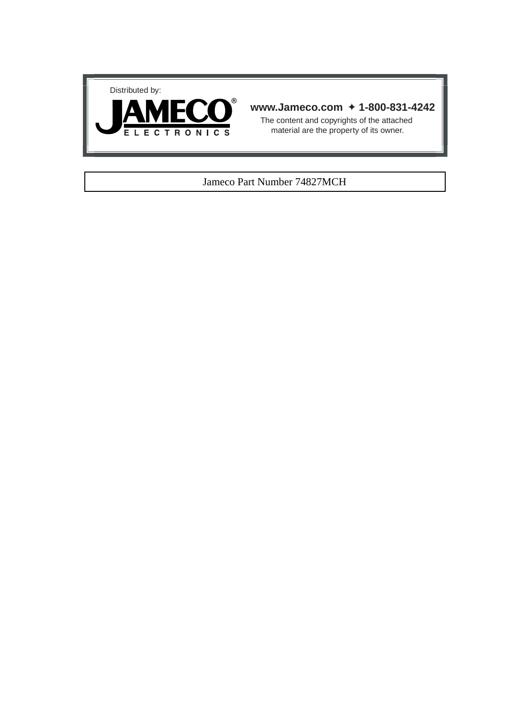



#### **www.Jameco.com** ✦ **1-800-831-4242**

The content and copyrights of the attached material are the property of its owner.

#### Jameco Part Number 74827MCH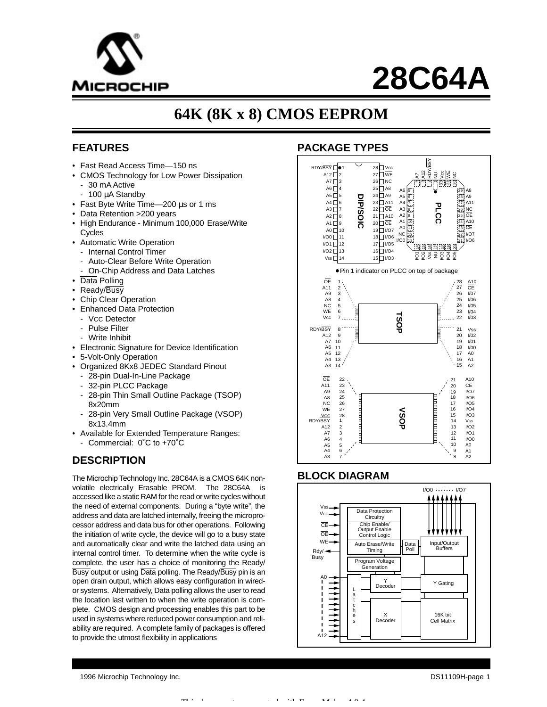

# **28C64A**

## **64K (8K x 8) CMOS EEPROM**

#### **FEATURES**

- Fast Read Access Time—150 ns
- CMOS Technology for Low Power Dissipation
	- 30 mA Active
	- 100 µA Standby
- Fast Byte Write Time—200 µs or 1 ms
- Data Retention >200 years
- High Endurance Minimum 100,000 Erase/Write **C**vcles
- Automatic Write Operation
	- Internal Control Timer
	- Auto-Clear Before Write Operation
	- On-Chip Address and Data Latches
- Data Polling
- Ready/Busy
- Chip Clear Operation
- Enhanced Data Protection
- VCC Detector
- Pulse Filter
- Write Inhibit
- Electronic Signature for Device Identification
- 5-Volt-Only Operation
- Organized 8Kx8 JEDEC Standard Pinout
	- 28-pin Dual-In-Line Package
	- 32-pin PLCC Package
	- 28-pin Thin Small Outline Package (TSOP) 8x20mm
	- 28-pin Very Small Outline Package (VSOP) 8x13.4mm
- Available for Extended Temperature Ranges:
	- Commercial: 0˚C to +70˚C

#### **DESCRIPTION**

The Microchip Technology Inc. 28C64A is a CMOS 64K nonvolatile electrically Erasable PROM. The 28C64A is accessed like a static RAM for the read or write cycles without the need of external components. During a "byte write", the address and data are latched internally, freeing the microprocessor address and data bus for other operations. Following the initiation of write cycle, the device will go to a busy state and automatically clear and write the latched data using an internal control timer. To determine when the write cycle is complete, the user has a choice of monitoring the Ready/ Busy output or using Data polling. The Ready/Busy pin is an open drain output, which allows easy configuration in wiredor systems. Alternatively, Data polling allows the user to read the location last written to when the write operation is complete. CMOS design and processing enables this part to be used in systems where reduced power consumption and reliability are required. A complete family of packages is offered to provide the utmost flexibility in applications

#### **PACKAGE TYPES**



#### **BLOCK DIAGRAM**



1996 Microchip Technology Inc. DS11109H-page 1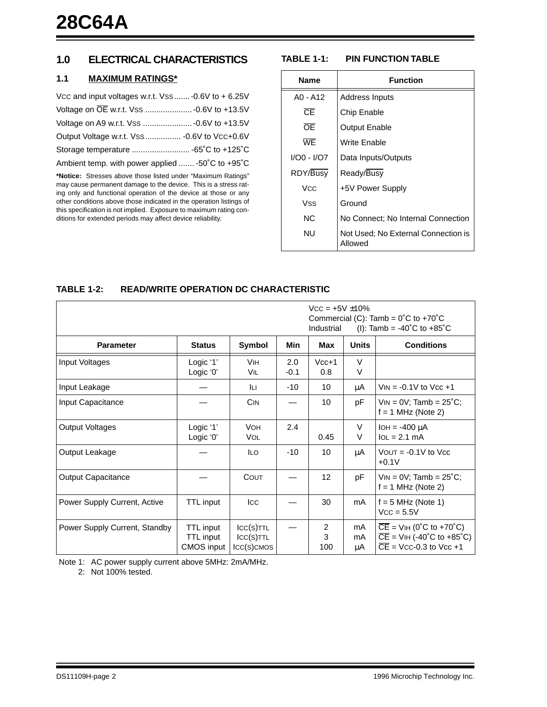#### **1.0 ELECTRICAL CHARACTERISTICS**

#### **1.1 MAXIMUM RATINGS\***

| Vcc and input voltages w.r.t. Vss  -0.6V to $+6.25V$ |  |
|------------------------------------------------------|--|
|                                                      |  |
|                                                      |  |
| Output Voltage w.r.t. Vss  - 0.6V to Vcc+0.6V        |  |
|                                                      |  |
| Ambient temp. with power applied  -50°C to +95°C     |  |

**\*Notice:** Stresses above those listed under "Maximum Ratings" may cause permanent damage to the device. This is a stress rating only and functional operation of the device at those or any other conditions above those indicated in the operation listings of this specification is not implied. Exposure to maximum rating conditions for extended periods may affect device reliability.

#### **TABLE 1-1: PIN FUNCTION TABLE**

| <b>Name</b> | <b>Function</b>                                |  |  |  |  |  |
|-------------|------------------------------------------------|--|--|--|--|--|
| $AO - A12$  | Address Inputs                                 |  |  |  |  |  |
| Œ           | <b>Chip Enable</b>                             |  |  |  |  |  |
| ŌΕ          | <b>Output Enable</b>                           |  |  |  |  |  |
| WF          | Write Enable                                   |  |  |  |  |  |
| I/O0 - I/O7 | Data Inputs/Outputs                            |  |  |  |  |  |
| RDY/Busy    | Ready/Busy                                     |  |  |  |  |  |
| Vcc         | +5V Power Supply                               |  |  |  |  |  |
| Vss         | Ground                                         |  |  |  |  |  |
| NC.         | No Connect: No Internal Connection             |  |  |  |  |  |
| NU          | Not Used; No External Connection is<br>Allowed |  |  |  |  |  |

#### **TABLE 1-2: READ/WRITE OPERATION DC CHARACTERISTIC**

|                               |                                                    |                                               | $VCC = +5V \pm 10\%$<br>Commercial (C): Tamb = $0^{\circ}$ C to +70 $^{\circ}$ C<br>Industrial<br>(I): Tamb = -40°C to +85°C |                |                |                                                                                                                       |  |
|-------------------------------|----------------------------------------------------|-----------------------------------------------|------------------------------------------------------------------------------------------------------------------------------|----------------|----------------|-----------------------------------------------------------------------------------------------------------------------|--|
| <b>Parameter</b>              | <b>Status</b>                                      | Symbol                                        | Min                                                                                                                          | Max            | <b>Units</b>   | <b>Conditions</b>                                                                                                     |  |
| Input Voltages                | Logic '1'<br>Logic '0'                             | <b>VIH</b><br>Vil                             | 2.0<br>$-0.1$                                                                                                                | $Vcc+1$<br>0.8 | V<br>V         |                                                                                                                       |  |
| Input Leakage                 |                                                    | Iц                                            | $-10$                                                                                                                        | 10             | μA             | $V_{IN} = -0.1V$ to $V_{CC} + 1$                                                                                      |  |
| Input Capacitance             |                                                    | CIN                                           |                                                                                                                              | 10             | рF             | $VIN = 0V$ ; Tamb = $25^{\circ}C$ ;<br>$f = 1$ MHz (Note 2)                                                           |  |
| <b>Output Voltages</b>        | Logic '1'<br>Logic '0'                             | <b>VOH</b><br><b>VOL</b>                      | 2.4                                                                                                                          | 0.45           | V<br>V         | $IOH = -400 \mu A$<br>$IoL = 2.1 mA$                                                                                  |  |
| Output Leakage                |                                                    | <b>ILO</b>                                    | $-10$                                                                                                                        | 10             | μA             | VOUT = $-0.1V$ to Vcc<br>$+0.1V$                                                                                      |  |
| <b>Output Capacitance</b>     |                                                    | COUT                                          |                                                                                                                              | 12             | рF             | $VIN = OV$ ; Tamb = 25°C;<br>$f = 1$ MHz (Note 2)                                                                     |  |
| Power Supply Current, Active  | <b>TTL</b> input                                   | Icc                                           |                                                                                                                              | 30             | mA             | $f = 5$ MHz (Note 1)<br>$Vcc = 5.5V$                                                                                  |  |
| Power Supply Current, Standby | TTL input<br><b>TTL</b> input<br><b>CMOS</b> input | $ CC(S)$ TTL<br>$ CC(S)$ TTL<br>$ICC(S)$ CMOS |                                                                                                                              | 2<br>3<br>100  | mA<br>mA<br>μA | $\overline{CE}$ = VIH (0°C to +70°C)<br>$\overline{CE}$ = VIH (-40°C to +85°C)<br>$\overline{CE}$ = Vcc-0.3 to Vcc +1 |  |

Note 1: AC power supply current above 5MHz: 2mA/MHz.

2: Not 100% tested.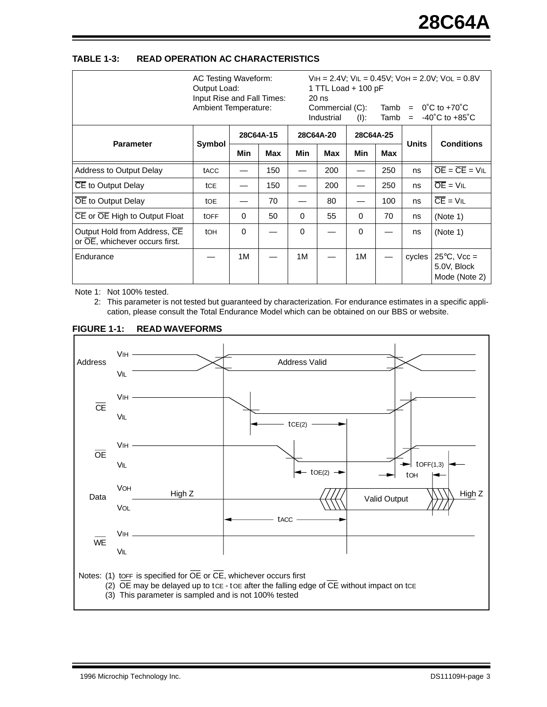#### **TABLE 1-3: READ OPERATION AC CHARACTERISTICS**

|                                                                | AC Testing Waveform:<br>Output Load:<br>Input Rise and Fall Times:<br><b>Ambient Temperature:</b> |           |            | $VIH = 2.4V$ ; $VIL = 0.45V$ ; $VOH = 2.0V$ ; $VOL = 0.8V$<br>1 TTL Load + 100 pF<br>$20$ ns<br>Commercial (C):<br>Tamb<br>$=$<br>Industrial<br>Tamb<br>(I):<br>$=$ |            |           |     | $0^{\circ}$ C to +70 $^{\circ}$ C<br>$-40^{\circ}$ C to $+85^{\circ}$ C |                                                       |
|----------------------------------------------------------------|---------------------------------------------------------------------------------------------------|-----------|------------|---------------------------------------------------------------------------------------------------------------------------------------------------------------------|------------|-----------|-----|-------------------------------------------------------------------------|-------------------------------------------------------|
|                                                                |                                                                                                   | 28C64A-15 |            | 28C64A-20                                                                                                                                                           |            | 28C64A-25 |     |                                                                         |                                                       |
| <b>Parameter</b>                                               | Symbol                                                                                            | Min       | <b>Max</b> | Min                                                                                                                                                                 | <b>Max</b> | Min       | Max | <b>Units</b>                                                            | <b>Conditions</b>                                     |
| Address to Output Delay                                        | tacc                                                                                              |           | 150        |                                                                                                                                                                     | 200        |           | 250 | ns                                                                      | $\overline{OE} = \overline{CE} = \overline{VL}$       |
| CE to Output Delay                                             | tCE                                                                                               |           | 150        |                                                                                                                                                                     | 200        |           | 250 | ns                                                                      | $\overline{OE}$ = $VIL$                               |
| OE to Output Delay                                             | toe                                                                                               |           | 70         |                                                                                                                                                                     | 80         |           | 100 | ns                                                                      | $\overline{CE}$ = $VIL$                               |
| $\overline{CE}$ or $\overline{OE}$ High to Output Float        | tOFF                                                                                              | $\Omega$  | 50         | 0                                                                                                                                                                   | 55         | $\Omega$  | 70  | ns                                                                      | (Note 1)                                              |
| Output Hold from Address, CE<br>or OE, whichever occurs first. | <b>tOH</b>                                                                                        | $\Omega$  |            | $\Omega$                                                                                                                                                            |            | $\Omega$  |     | ns                                                                      | (Note 1)                                              |
| Endurance                                                      |                                                                                                   | 1M        |            | 1M                                                                                                                                                                  |            | 1M        |     | cycles                                                                  | $25^{\circ}$ C, Vcc =<br>5.0V, Block<br>Mode (Note 2) |

Note 1: Not 100% tested.

2: This parameter is not tested but guaranteed by characterization. For endurance estimates in a specific application, please consult the Total Endurance Model which can be obtained on our BBS or website.



#### **FIGURE 1-1: READ WAVEFORMS**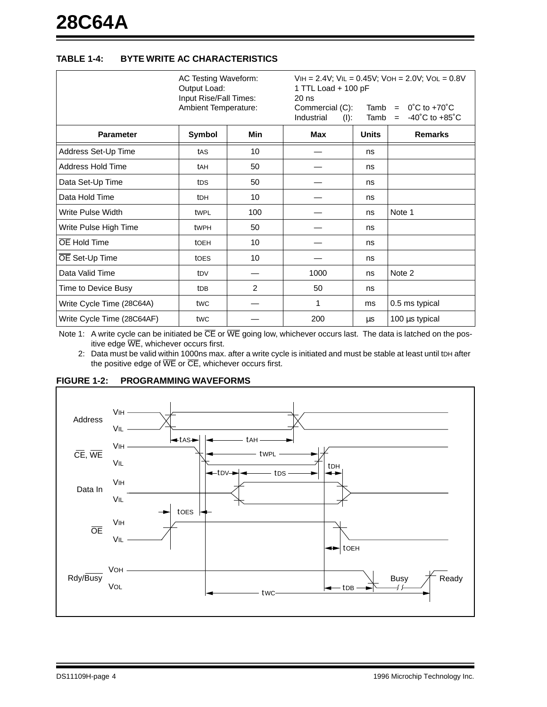#### **TABLE 1-4: BYTE WRITE AC CHARACTERISTICS**

|                            | <b>AC Testing Waveform:</b><br>Output Load:<br>Input Rise/Fall Times:<br>Ambient Temperature: |                 | 1 TTL Load + 100 pF<br>$20$ ns<br>Commercial (C):<br>Industrial<br>$(I)$ : | $VIH = 2.4V$ ; $VIL = 0.45V$ ; $VOH = 2.0V$ ; $VOL = 0.8V$<br>Tamb = $0^{\circ}$ C to +70 $^{\circ}$ C<br>$-40^{\circ}$ C to $+85^{\circ}$ C<br>Tamb<br>$=$ |                |
|----------------------------|-----------------------------------------------------------------------------------------------|-----------------|----------------------------------------------------------------------------|-------------------------------------------------------------------------------------------------------------------------------------------------------------|----------------|
| <b>Parameter</b>           | Symbol                                                                                        | <b>Min</b>      | Max                                                                        | <b>Units</b>                                                                                                                                                | <b>Remarks</b> |
| Address Set-Up Time        | tAS                                                                                           | 10              |                                                                            | ns                                                                                                                                                          |                |
| Address Hold Time          | tAH                                                                                           | 50              |                                                                            | ns                                                                                                                                                          |                |
| Data Set-Up Time           | tDS                                                                                           | 50              |                                                                            | ns                                                                                                                                                          |                |
| Data Hold Time             | t <sub>DH</sub>                                                                               | 10              |                                                                            | ns                                                                                                                                                          |                |
| Write Pulse Width          | twpL                                                                                          | 100             |                                                                            | ns                                                                                                                                                          | Note 1         |
| Write Pulse High Time      | twPH                                                                                          | 50              |                                                                            | ns                                                                                                                                                          |                |
| OE Hold Time               | tOEH                                                                                          | 10 <sup>1</sup> |                                                                            | ns                                                                                                                                                          |                |
| OE Set-Up Time             | toes                                                                                          | 10              |                                                                            | ns                                                                                                                                                          |                |
| Data Valid Time            | t <sub>DV</sub>                                                                               |                 | 1000                                                                       | ns                                                                                                                                                          | Note 2         |
| Time to Device Busy        | t <sub>DB</sub>                                                                               | 2               | 50                                                                         | ns                                                                                                                                                          |                |
| Write Cycle Time (28C64A)  | twc                                                                                           |                 | 1                                                                          | ms                                                                                                                                                          | 0.5 ms typical |
| Write Cycle Time (28C64AF) | twc                                                                                           |                 | 200                                                                        | μs                                                                                                                                                          | 100 µs typical |

Note 1: A write cycle can be initiated be  $\overline{CE}$  or  $\overline{WE}$  going low, whichever occurs last. The data is latched on the positive edge WE, whichever occurs first.

2: Data must be valid within 1000ns max. after a write cycle is initiated and must be stable at least until tDH after the positive edge of  $\overline{\text{WE}}$  or  $\overline{\text{CE}}$ , whichever occurs first.



#### **FIGURE 1-2: PROGRAMMING WAVEFORMS**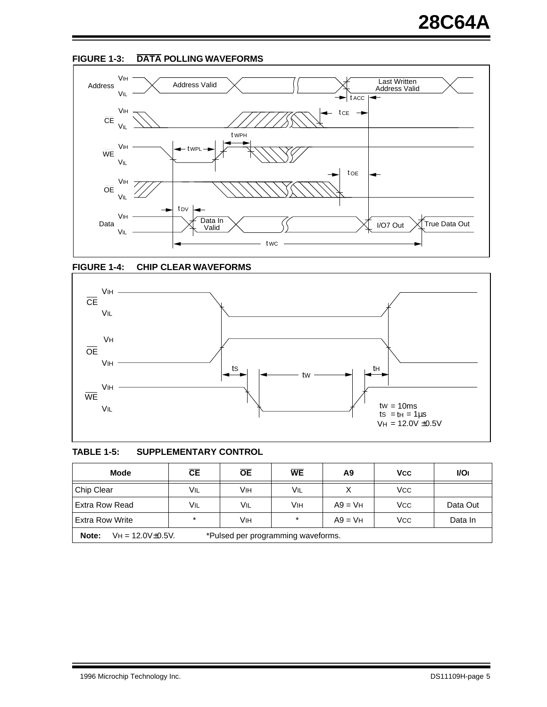







#### **TABLE 1-5: SUPPLEMENTARY CONTROL**

| <b>Mode</b>                                                              | СE      | <b>OE</b> | <b>WE</b> | A9        | <b>V<sub>CC</sub></b> | <b>VOI</b> |  |
|--------------------------------------------------------------------------|---------|-----------|-----------|-----------|-----------------------|------------|--|
| Chip Clear                                                               | VIL     | Vıн       | VIL       |           | <b>VCC</b>            |            |  |
| Extra Row Read                                                           | Vil     | Vil       | Vıн       | $A9 = VH$ | <b>VCC</b>            | Data Out   |  |
| <b>Extra Row Write</b>                                                   | $\star$ | Vıн       | $\star$   | $A9 = VH$ | <b>VCC</b>            | Data In    |  |
| Note:<br>*Pulsed per programming waveforms.<br>$VH = 12.0 V \pm 0.5 V$ . |         |           |           |           |                       |            |  |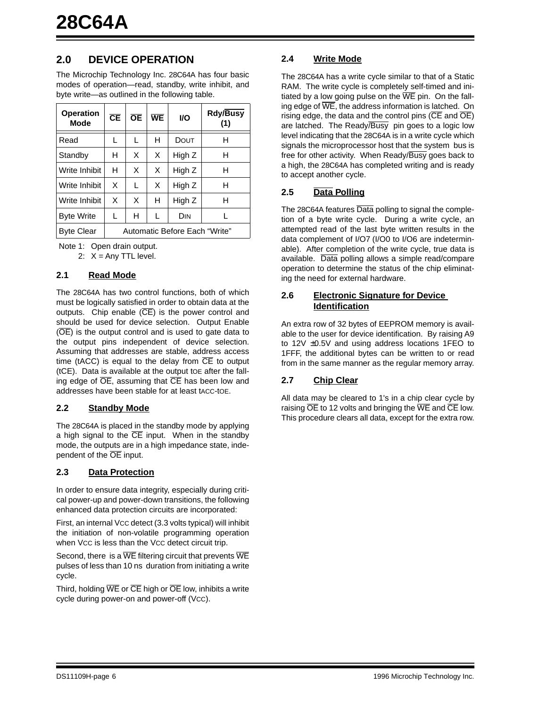### **2.0 DEVICE OPERATION**

The Microchip Technology Inc. 28C64A has four basic modes of operation—read, standby, write inhibit, and byte write—as outlined in the following table.

| <b>Operation</b><br><b>Mode</b> | СE                            | <b>OE</b> | WE | <b>VO</b> | <b>Rdy/Busy</b><br>(1) |  |
|---------------------------------|-------------------------------|-----------|----|-----------|------------------------|--|
| Read                            | L                             | L         | н  | DOUT      | н                      |  |
| Standby                         | н                             | X         | X  | High Z    | н                      |  |
| Write Inhibit                   | н                             | X         | X  | High Z    | н                      |  |
| Write Inhibit                   | X                             | L         | X  | High Z    | н                      |  |
| Write Inhibit                   | X                             | X         | н  | High Z    | н                      |  |
| <b>Byte Write</b>               | L                             | н         | L  | DIN       |                        |  |
| Byte Clear                      | Automatic Before Each "Write" |           |    |           |                        |  |

Note 1: Open drain output.

2:  $X = Any TTL level.$ 

#### **2.1 Read Mode**

The 28C64A has two control functions, both of which must be logically satisfied in order to obtain data at the outputs. Chip enable  $(\overline{CE})$  is the power control and should be used for device selection. Output Enable (OE) is the output control and is used to gate data to the output pins independent of device selection. Assuming that addresses are stable, address access time (tACC) is equal to the delay from  $\overline{CE}$  to output (tCE). Data is available at the output tOE after the falling edge of  $\overline{OE}$ , assuming that  $\overline{CE}$  has been low and addresses have been stable for at least tACC-tOE.

#### **2.2 Standby Mode**

The 28C64A is placed in the standby mode by applying a high signal to the  $\overline{CE}$  input. When in the standby mode, the outputs are in a high impedance state, independent of the OE input.

#### **2.3 Data Protection**

In order to ensure data integrity, especially during critical power-up and power-down transitions, the following enhanced data protection circuits are incorporated:

First, an internal VCC detect (3.3 volts typical) will inhibit the initiation of non-volatile programming operation when Vcc is less than the Vcc detect circuit trip.

Second, there is a  $\overline{\text{WE}}$  filtering circuit that prevents  $\overline{\text{WE}}$ pulses of less than 10 ns duration from initiating a write cycle.

Third, holding  $\overline{WE}$  or  $\overline{CE}$  high or  $\overline{OE}$  low, inhibits a write cycle during power-on and power-off (Vcc).

#### **2.4 Write Mode**

The 28C64A has a write cycle similar to that of a Static RAM. The write cycle is completely self-timed and initiated by a low going pulse on the  $\overline{WE}$  pin. On the falling edge of  $\overline{WE}$ , the address information is latched. On rising edge, the data and the control pins ( $\overline{CE}$  and  $\overline{OE}$ ) are latched. The Ready/Busy pin goes to a logic low level indicating that the 28C64A is in a write cycle which signals the microprocessor host that the system bus is free for other activity. When Ready/Busy goes back to a high, the 28C64A has completed writing and is ready to accept another cycle.

#### **2.5 Data Polling**

The 28C64A features Data polling to signal the completion of a byte write cycle. During a write cycle, an attempted read of the last byte written results in the data complement of I/O7 (I/O0 to I/O6 are indeterminable). After completion of the write cycle, true data is available. Data polling allows a simple read/compare operation to determine the status of the chip eliminating the need for external hardware.

#### **2.6 Electronic Signature for Device Identification**

An extra row of 32 bytes of EEPROM memory is available to the user for device identification. By raising A9 to 12V ±0.5V and using address locations 1FEO to 1FFF, the additional bytes can be written to or read from in the same manner as the regular memory array.

#### **2.7 Chip Clear**

All data may be cleared to 1's in a chip clear cycle by raising  $\overline{OE}$  to 12 volts and bringing the  $\overline{WE}$  and  $\overline{CE}$  low. This procedure clears all data, except for the extra row.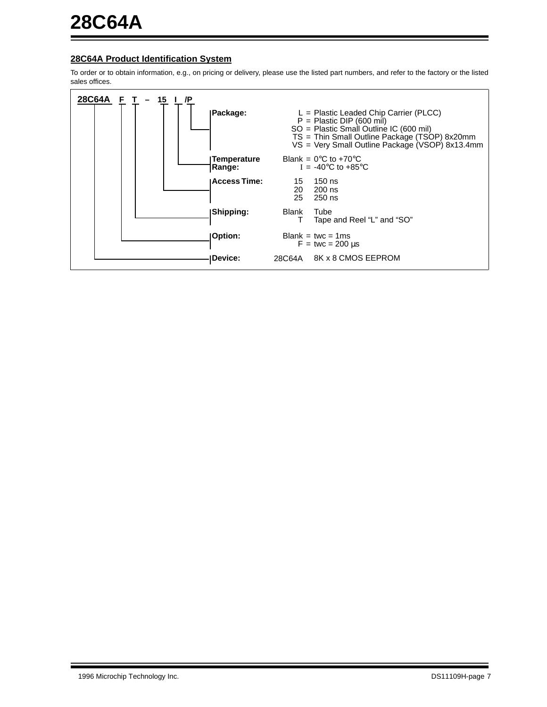#### **28C64A Product Identification System**

To order or to obtain information, e.g., on pricing or delivery, please use the listed part numbers, and refer to the factory or the listed sales offices.